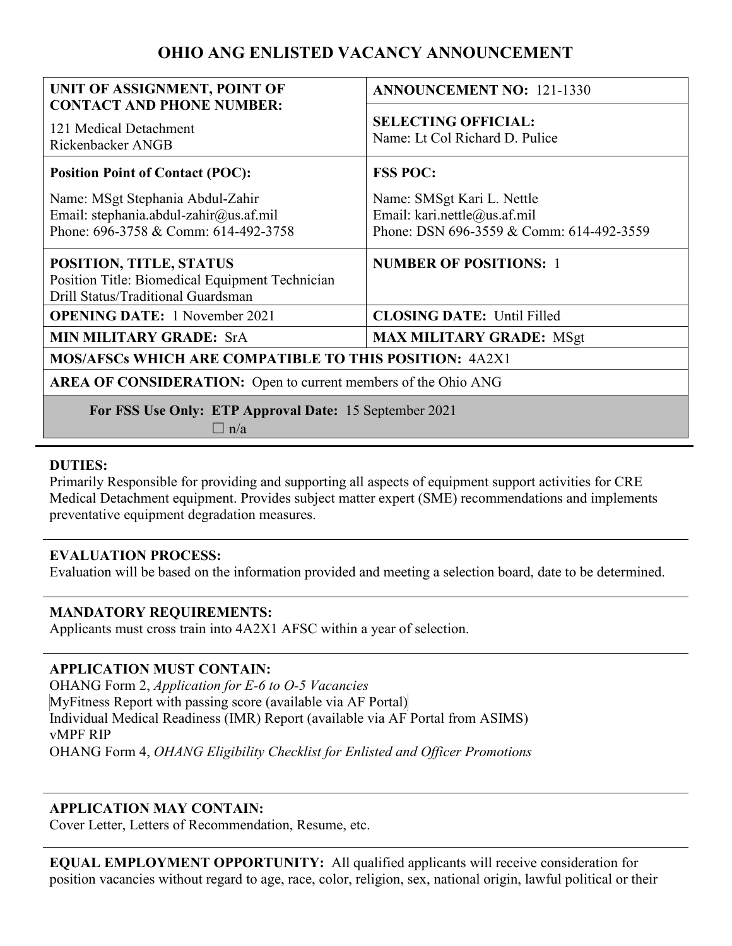# **OHIO ANG ENLISTED VACANCY ANNOUNCEMENT**

| UNIT OF ASSIGNMENT, POINT OF<br><b>CONTACT AND PHONE NUMBER:</b>                                                   | <b>ANNOUNCEMENT NO: 121-1330</b>                                                                       |
|--------------------------------------------------------------------------------------------------------------------|--------------------------------------------------------------------------------------------------------|
| 121 Medical Detachment<br>Rickenbacker ANGB                                                                        | <b>SELECTING OFFICIAL:</b><br>Name: Lt Col Richard D. Pulice                                           |
| <b>Position Point of Contact (POC):</b>                                                                            | <b>FSS POC:</b>                                                                                        |
| Name: MSgt Stephania Abdul-Zahir<br>Email: stephania.abdul-zahir@us.af.mil<br>Phone: 696-3758 & Comm: 614-492-3758 | Name: SMSgt Kari L. Nettle<br>Email: kari.nettle@us.af.mil<br>Phone: DSN 696-3559 & Comm: 614-492-3559 |
| POSITION, TITLE, STATUS<br>Position Title: Biomedical Equipment Technician<br>Drill Status/Traditional Guardsman   | <b>NUMBER OF POSITIONS: 1</b>                                                                          |
| <b>OPENING DATE:</b> 1 November 2021                                                                               | <b>CLOSING DATE: Until Filled</b>                                                                      |
| <b>MIN MILITARY GRADE: SrA</b>                                                                                     | <b>MAX MILITARY GRADE: MSgt</b>                                                                        |
| <b>MOS/AFSCs WHICH ARE COMPATIBLE TO THIS POSITION: 4A2X1</b>                                                      |                                                                                                        |
| <b>AREA OF CONSIDERATION:</b> Open to current members of the Ohio ANG                                              |                                                                                                        |
| For FSS Use Only: ETP Approval Date: 15 September 2021<br>$\Box$ n/a                                               |                                                                                                        |

## **DUTIES:**

Primarily Responsible for providing and supporting all aspects of equipment support activities for CRE Medical Detachment equipment. Provides subject matter expert (SME) recommendations and implements preventative equipment degradation measures.

# **EVALUATION PROCESS:**

Evaluation will be based on the information provided and meeting a selection board, date to be determined.

# **MANDATORY REQUIREMENTS:**

Applicants must cross train into 4A2X1 AFSC within a year of selection.

# **APPLICATION MUST CONTAIN:**

OHANG Form 2, *Application for E-6 to O-5 Vacancies*  MyFitness Report with passing score (available via AF Portal) Individual Medical Readiness (IMR) Report (available via AF Portal from ASIMS) vMPF RIP OHANG Form 4, *OHANG Eligibility Checklist for Enlisted and Officer Promotions* 

# **APPLICATION MAY CONTAIN:**

Cover Letter, Letters of Recommendation, Resume, etc.

**EQUAL EMPLOYMENT OPPORTUNITY:** All qualified applicants will receive consideration for position vacancies without regard to age, race, color, religion, sex, national origin, lawful political or their